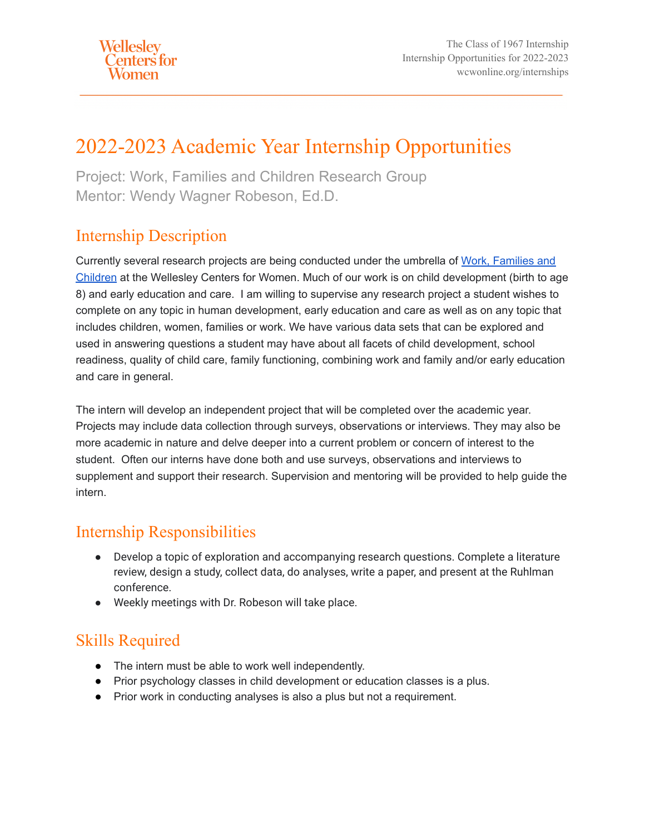# 2022-2023 Academic Year Internship Opportunities

Project: Work, Families and Children Research Group Mentor: Wendy Wagner Robeson, Ed.D.

#### Internship Description

Currently several research projects are being conducted under the umbrella of [Work, Families and](https://www.wcwonline.org/Active-Projects/work-families-and-children) [Children](https://www.wcwonline.org/Active-Projects/work-families-and-children) at the Wellesley Centers for Women. Much of our work is on child development (birth to age 8) and early education and care. I am willing to supervise any research project a student wishes to complete on any topic in human development, early education and care as well as on any topic that includes children, women, families or work. We have various data sets that can be explored and used in answering questions a student may have about all facets of child development, school readiness, quality of child care, family functioning, combining work and family and/or early education and care in general.

The intern will develop an independent project that will be completed over the academic year. Projects may include data collection through surveys, observations or interviews. They may also be more academic in nature and delve deeper into a current problem or concern of interest to the student. Often our interns have done both and use surveys, observations and interviews to supplement and support their research. Supervision and mentoring will be provided to help guide the intern.

#### Internship Responsibilities

- Develop a topic of exploration and accompanying research questions. Complete a literature review, design a study, collect data, do analyses, write a paper, and present at the Ruhlman conference.
- Weekly meetings with Dr. Robeson will take place.

### Skills Required

- The intern must be able to work well independently.
- Prior psychology classes in child development or education classes is a plus.
- Prior work in conducting analyses is also a plus but not a requirement.